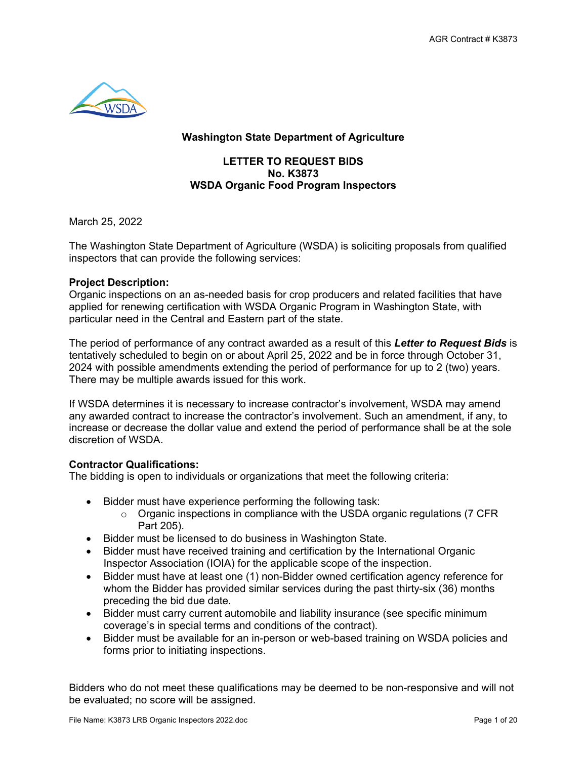

## **Washington State Department of Agriculture**

## **LETTER TO REQUEST BIDS No. K3873 WSDA Organic Food Program Inspectors**

March 25, 2022

The Washington State Department of Agriculture (WSDA) is soliciting proposals from qualified inspectors that can provide the following services:

### **Project Description:**

Organic inspections on an as-needed basis for crop producers and related facilities that have applied for renewing certification with WSDA Organic Program in Washington State, with particular need in the Central and Eastern part of the state.

The period of performance of any contract awarded as a result of this *Letter to Request Bids* is tentatively scheduled to begin on or about April 25, 2022 and be in force through October 31, 2024 with possible amendments extending the period of performance for up to 2 (two) years. There may be multiple awards issued for this work.

If WSDA determines it is necessary to increase contractor's involvement, WSDA may amend any awarded contract to increase the contractor's involvement. Such an amendment, if any, to increase or decrease the dollar value and extend the period of performance shall be at the sole discretion of WSDA.

## **Contractor Qualifications:**

The bidding is open to individuals or organizations that meet the following criteria:

- Bidder must have experience performing the following task:
	- $\circ$  Organic inspections in compliance with the USDA organic regulations (7 CFR) Part 205).
- Bidder must be licensed to do business in Washington State.
- Bidder must have received training and certification by the International Organic Inspector Association (IOIA) for the applicable scope of the inspection.
- Bidder must have at least one (1) non-Bidder owned certification agency reference for whom the Bidder has provided similar services during the past thirty-six (36) months preceding the bid due date.
- Bidder must carry current automobile and liability insurance (see specific minimum coverage's in special terms and conditions of the contract).
- Bidder must be available for an in-person or web-based training on WSDA policies and forms prior to initiating inspections.

Bidders who do not meet these qualifications may be deemed to be non-responsive and will not be evaluated; no score will be assigned.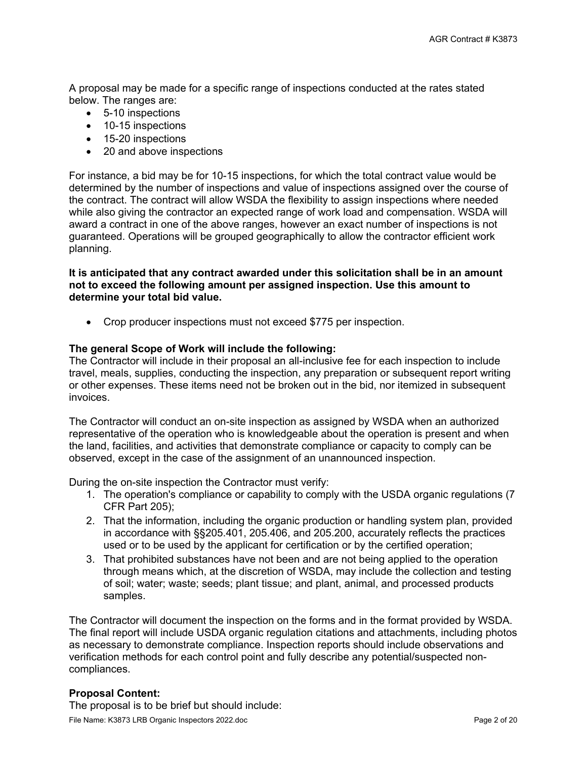A proposal may be made for a specific range of inspections conducted at the rates stated below. The ranges are:

- 5-10 inspections
- 10-15 inspections
- 15-20 inspections
- 20 and above inspections

For instance, a bid may be for 10-15 inspections, for which the total contract value would be determined by the number of inspections and value of inspections assigned over the course of the contract. The contract will allow WSDA the flexibility to assign inspections where needed while also giving the contractor an expected range of work load and compensation. WSDA will award a contract in one of the above ranges, however an exact number of inspections is not guaranteed. Operations will be grouped geographically to allow the contractor efficient work planning.

#### **It is anticipated that any contract awarded under this solicitation shall be in an amount not to exceed the following amount per assigned inspection. Use this amount to determine your total bid value.**

• Crop producer inspections must not exceed \$775 per inspection.

#### **The general Scope of Work will include the following:**

The Contractor will include in their proposal an all-inclusive fee for each inspection to include travel, meals, supplies, conducting the inspection, any preparation or subsequent report writing or other expenses. These items need not be broken out in the bid, nor itemized in subsequent invoices.

The Contractor will conduct an on-site inspection as assigned by WSDA when an authorized representative of the operation who is knowledgeable about the operation is present and when the land, facilities, and activities that demonstrate compliance or capacity to comply can be observed, except in the case of the assignment of an unannounced inspection.

During the on-site inspection the Contractor must verify:

- 1. The operation's compliance or capability to comply with the USDA organic regulations (7 CFR Part 205);
- 2. That the information, including the organic production or handling system plan, provided in accordance with §§205.401, 205.406, and 205.200, accurately reflects the practices used or to be used by the applicant for certification or by the certified operation;
- 3. That prohibited substances have not been and are not being applied to the operation through means which, at the discretion of WSDA, may include the collection and testing of soil; water; waste; seeds; plant tissue; and plant, animal, and processed products samples.

The Contractor will document the inspection on the forms and in the format provided by WSDA. The final report will include USDA organic regulation citations and attachments, including photos as necessary to demonstrate compliance. Inspection reports should include observations and verification methods for each control point and fully describe any potential/suspected noncompliances.

#### **Proposal Content:**

The proposal is to be brief but should include: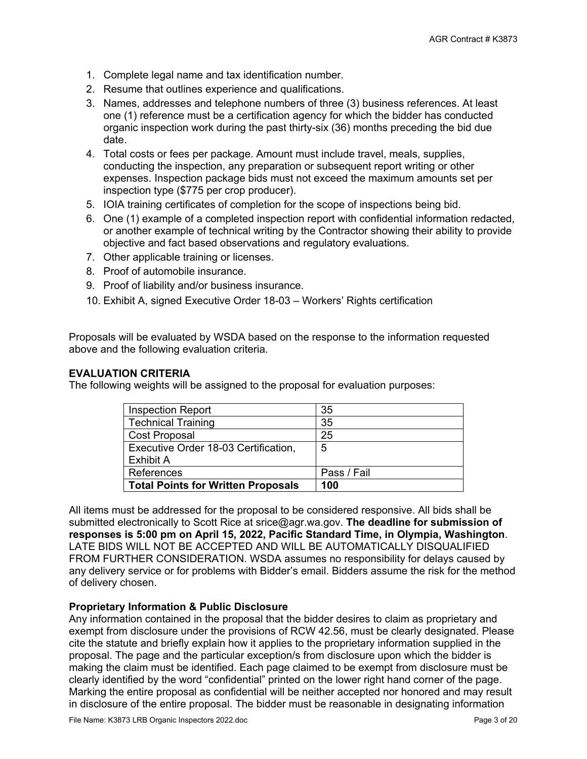- 1. Complete legal name and tax identification number.
- 2. Resume that outlines experience and qualifications.
- 3. Names, addresses and telephone numbers of three (3) business references. At least one (1) reference must be a certification agency for which the bidder has conducted organic inspection work during the past thirty-six (36) months preceding the bid due date.
- 4. Total costs or fees per package. Amount must include travel, meals, supplies, conducting the inspection, any preparation or subsequent report writing or other expenses. Inspection package bids must not exceed the maximum amounts set per inspection type (\$775 per crop producer).
- 5. IOIA training certificates of completion for the scope of inspections being bid.
- 6. One (1) example of a completed inspection report with confidential information redacted, or another example of technical writing by the Contractor showing their ability to provide objective and fact based observations and regulatory evaluations.
- 7. Other applicable training or licenses.
- 8. Proof of automobile insurance.
- 9. Proof of liability and/or business insurance.
- 10. Exhibit A, signed Executive Order 18-03 Workers' Rights certification

Proposals will be evaluated by WSDA based on the response to the information requested above and the following evaluation criteria.

### **EVALUATION CRITERIA**

The following weights will be assigned to the proposal for evaluation purposes:

| <b>Inspection Report</b>                  | 35          |
|-------------------------------------------|-------------|
| <b>Technical Training</b>                 | 35          |
| <b>Cost Proposal</b>                      | 25          |
| Executive Order 18-03 Certification,      | 5           |
| Exhibit A                                 |             |
| References                                | Pass / Fail |
| <b>Total Points for Written Proposals</b> | 100         |

All items must be addressed for the proposal to be considered responsive. All bids shall be submitted electronically to Scott Rice at srice@agr.wa.gov. **The deadline for submission of responses is 5:00 pm on April 15, 2022, Pacific Standard Time, in Olympia, Washington**. LATE BIDS WILL NOT BE ACCEPTED AND WILL BE AUTOMATICALLY DISQUALIFIED FROM FURTHER CONSIDERATION. WSDA assumes no responsibility for delays caused by any delivery service or for problems with Bidder's email. Bidders assume the risk for the method of delivery chosen.

#### **Proprietary Information & Public Disclosure**

Any information contained in the proposal that the bidder desires to claim as proprietary and exempt from disclosure under the provisions of RCW 42.56, must be clearly designated. Please cite the statute and briefly explain how it applies to the proprietary information supplied in the proposal. The page and the particular exception/s from disclosure upon which the bidder is making the claim must be identified. Each page claimed to be exempt from disclosure must be clearly identified by the word "confidential" printed on the lower right hand corner of the page. Marking the entire proposal as confidential will be neither accepted nor honored and may result in disclosure of the entire proposal. The bidder must be reasonable in designating information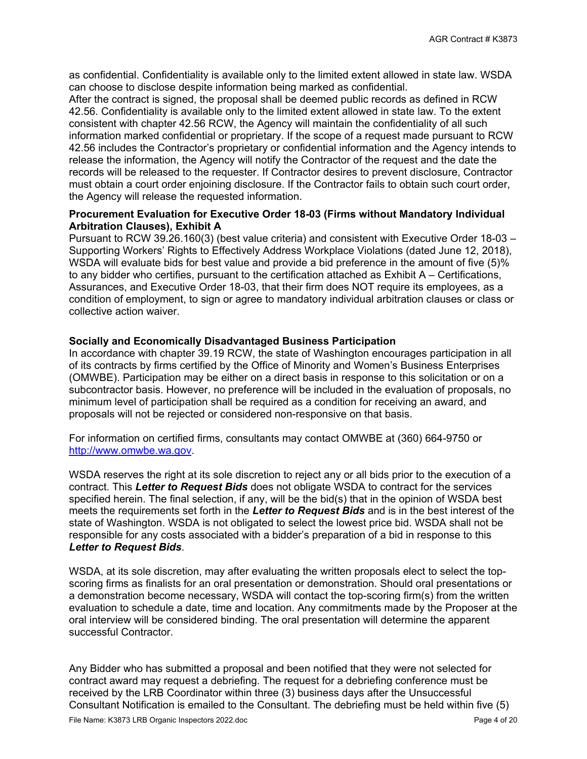as confidential. Confidentiality is available only to the limited extent allowed in state law. WSDA can choose to disclose despite information being marked as confidential.

After the contract is signed, the proposal shall be deemed public records as defined in RCW 42.56. Confidentiality is available only to the limited extent allowed in state law. To the extent consistent with chapter 42.56 RCW, the Agency will maintain the confidentiality of all such information marked confidential or proprietary. If the scope of a request made pursuant to RCW 42.56 includes the Contractor's proprietary or confidential information and the Agency intends to release the information, the Agency will notify the Contractor of the request and the date the records will be released to the requester. If Contractor desires to prevent disclosure, Contractor must obtain a court order enjoining disclosure. If the Contractor fails to obtain such court order, the Agency will release the requested information.

#### **Procurement Evaluation for Executive Order 18-03 (Firms without Mandatory Individual Arbitration Clauses), Exhibit A**

Pursuant to RCW 39.26.160(3) (best value criteria) and consistent with Executive Order 18-03 – Supporting Workers' Rights to Effectively Address Workplace Violations (dated June 12, 2018), WSDA will evaluate bids for best value and provide a bid preference in the amount of five (5)% to any bidder who certifies, pursuant to the certification attached as Exhibit A – Certifications, Assurances, and Executive Order 18-03, that their firm does NOT require its employees, as a condition of employment, to sign or agree to mandatory individual arbitration clauses or class or collective action waiver.

#### **Socially and Economically Disadvantaged Business Participation**

In accordance with chapter 39.19 RCW, the state of Washington encourages participation in all of its contracts by firms certified by the Office of Minority and Women's Business Enterprises (OMWBE). Participation may be either on a direct basis in response to this solicitation or on a subcontractor basis. However, no preference will be included in the evaluation of proposals, no minimum level of participation shall be required as a condition for receiving an award, and proposals will not be rejected or considered non-responsive on that basis.

For information on certified firms, consultants may contact OMWBE at (360) 664-9750 or [http://www.omwbe.wa.gov.](http://www.omwbe.wa.gov/)

WSDA reserves the right at its sole discretion to reject any or all bids prior to the execution of a contract. This *Letter to Request Bids* does not obligate WSDA to contract for the services specified herein. The final selection, if any, will be the bid(s) that in the opinion of WSDA best meets the requirements set forth in the *Letter to Request Bids* and is in the best interest of the state of Washington. WSDA is not obligated to select the lowest price bid. WSDA shall not be responsible for any costs associated with a bidder's preparation of a bid in response to this *Letter to Request Bids*.

WSDA, at its sole discretion, may after evaluating the written proposals elect to select the topscoring firms as finalists for an oral presentation or demonstration. Should oral presentations or a demonstration become necessary, WSDA will contact the top-scoring firm(s) from the written evaluation to schedule a date, time and location. Any commitments made by the Proposer at the oral interview will be considered binding. The oral presentation will determine the apparent successful Contractor.

Any Bidder who has submitted a proposal and been notified that they were not selected for contract award may request a debriefing. The request for a debriefing conference must be received by the LRB Coordinator within three (3) business days after the Unsuccessful Consultant Notification is emailed to the Consultant. The debriefing must be held within five (5)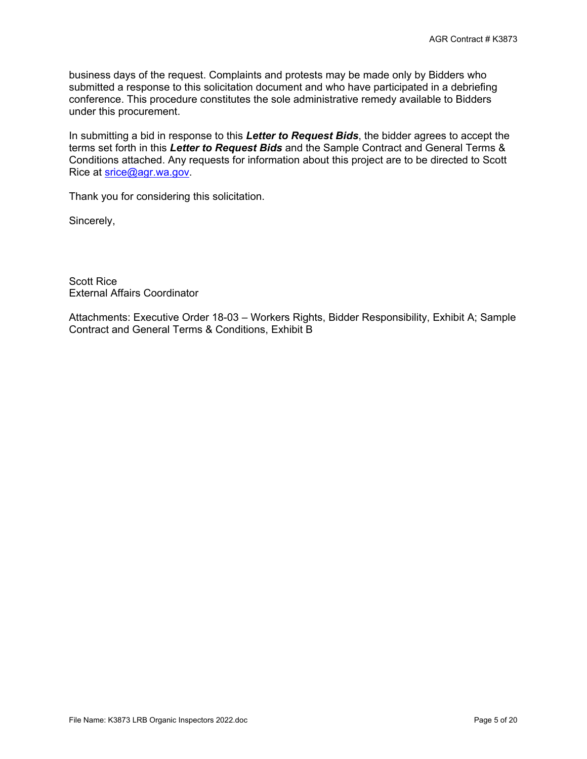business days of the request. Complaints and protests may be made only by Bidders who submitted a response to this solicitation document and who have participated in a debriefing conference. This procedure constitutes the sole administrative remedy available to Bidders under this procurement.

In submitting a bid in response to this *Letter to Request Bids*, the bidder agrees to accept the terms set forth in this *Letter to Request Bids* and the Sample Contract and General Terms & Conditions attached. Any requests for information about this project are to be directed to Scott Rice at [srice@agr.wa.gov.](mailto:srice@agr.wa.gov)

Thank you for considering this solicitation.

Sincerely,

Scott Rice External Affairs Coordinator

Attachments: Executive Order 18-03 – Workers Rights, Bidder Responsibility, Exhibit A; Sample Contract and General Terms & Conditions, Exhibit B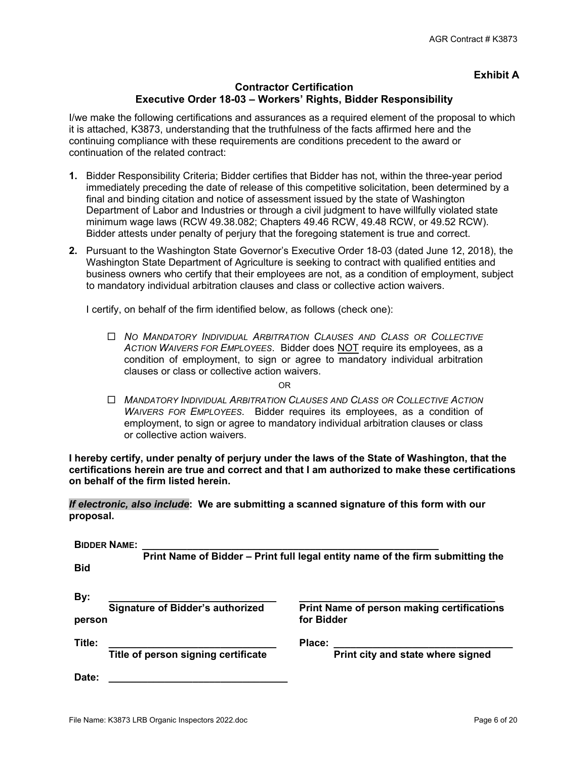### **Exhibit A**

#### **Contractor Certification Executive Order 18-03 – Workers' Rights, Bidder Responsibility**

I/we make the following certifications and assurances as a required element of the proposal to which it is attached, K3873, understanding that the truthfulness of the facts affirmed here and the continuing compliance with these requirements are conditions precedent to the award or continuation of the related contract:

- **1.** Bidder Responsibility Criteria; Bidder certifies that Bidder has not, within the three-year period immediately preceding the date of release of this competitive solicitation, been determined by a final and binding citation and notice of assessment issued by the state of Washington Department of Labor and Industries or through a civil judgment to have willfully violated state minimum wage laws (RCW 49.38.082; Chapters 49.46 RCW, 49.48 RCW, or 49.52 RCW). Bidder attests under penalty of perjury that the foregoing statement is true and correct.
- **2.** Pursuant to the Washington State Governor's Executive Order 18-03 (dated June 12, 2018), the Washington State Department of Agriculture is seeking to contract with qualified entities and business owners who certify that their employees are not, as a condition of employment, subject to mandatory individual arbitration clauses and class or collective action waivers.

I certify, on behalf of the firm identified below, as follows (check one):

 *NO MANDATORY INDIVIDUAL ARBITRATION CLAUSES AND CLASS OR COLLECTIVE ACTION WAIVERS FOR EMPLOYEES*. Bidder does NOT require its employees, as a condition of employment, to sign or agree to mandatory individual arbitration clauses or class or collective action waivers.

OR

 *MANDATORY INDIVIDUAL ARBITRATION CLAUSES AND CLASS OR COLLECTIVE ACTION WAIVERS FOR EMPLOYEES*. Bidder requires its employees, as a condition of employment, to sign or agree to mandatory individual arbitration clauses or class or collective action waivers.

**I hereby certify, under penalty of perjury under the laws of the State of Washington, that the certifications herein are true and correct and that I am authorized to make these certifications on behalf of the firm listed herein.**

*If electronic, also include***: We are submitting a scanned signature of this form with our proposal.**

|            | <b>BIDDER NAME:</b>                     |                                                                                |  |
|------------|-----------------------------------------|--------------------------------------------------------------------------------|--|
|            |                                         | Print Name of Bidder - Print full legal entity name of the firm submitting the |  |
| <b>Bid</b> |                                         |                                                                                |  |
|            |                                         |                                                                                |  |
| By:        |                                         |                                                                                |  |
|            | <b>Signature of Bidder's authorized</b> | <b>Print Name of person making certifications</b>                              |  |
| person     |                                         | for Bidder                                                                     |  |
| Title:     |                                         | Place:                                                                         |  |
|            | Title of person signing certificate     | Print city and state where signed                                              |  |
| Date:      |                                         |                                                                                |  |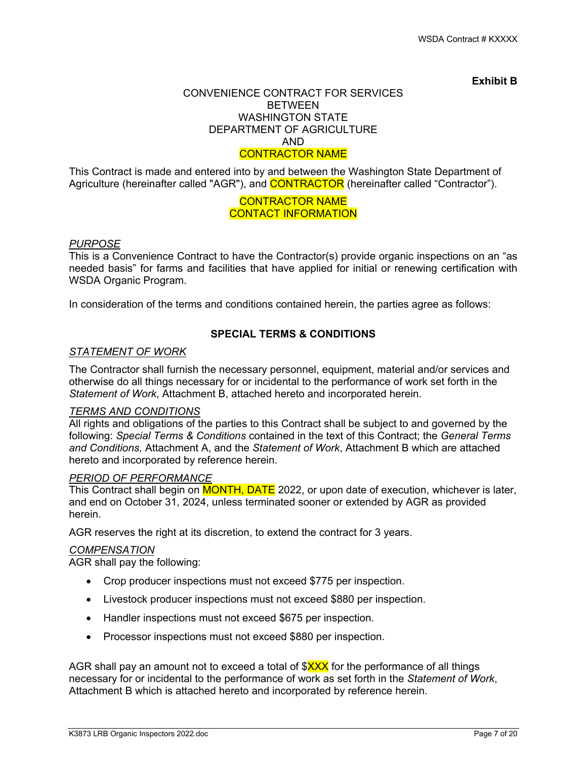#### **Exhibit B**

#### CONVENIENCE CONTRACT FOR SERVICES BETWEEN WASHINGTON STATE DEPARTMENT OF AGRICULTURE AND CONTRACTOR NAME

This Contract is made and entered into by and between the Washington State Department of Agriculture (hereinafter called "AGR"), and **CONTRACTOR** (hereinafter called "Contractor").

## CONTRACTOR NAME CONTACT INFORMATION

### *PURPOSE*

This is a Convenience Contract to have the Contractor(s) provide organic inspections on an "as needed basis" for farms and facilities that have applied for initial or renewing certification with WSDA Organic Program.

In consideration of the terms and conditions contained herein, the parties agree as follows:

## **SPECIAL TERMS & CONDITIONS**

## *STATEMENT OF WORK*

The Contractor shall furnish the necessary personnel, equipment, material and/or services and otherwise do all things necessary for or incidental to the performance of work set forth in the *Statement of Work*, Attachment B, attached hereto and incorporated herein.

#### *TERMS AND CONDITIONS*

All rights and obligations of the parties to this Contract shall be subject to and governed by the following: *Special Terms & Conditions* contained in the text of this Contract; the *General Terms and Conditions,* Attachment A, and the *Statement of Work*, Attachment B which are attached hereto and incorporated by reference herein.

#### *PERIOD OF PERFORMANCE*

This Contract shall begin on **MONTH, DATE** 2022, or upon date of execution, whichever is later, and end on October 31, 2024, unless terminated sooner or extended by AGR as provided herein.

AGR reserves the right at its discretion, to extend the contract for 3 years.

### *COMPENSATION*

AGR shall pay the following:

- Crop producer inspections must not exceed \$775 per inspection.
- Livestock producer inspections must not exceed \$880 per inspection.
- Handler inspections must not exceed \$675 per inspection.
- Processor inspections must not exceed \$880 per inspection.

AGR shall pay an amount not to exceed a total of  $XXX$  for the performance of all things necessary for or incidental to the performance of work as set forth in the *Statement of Work*, Attachment B which is attached hereto and incorporated by reference herein.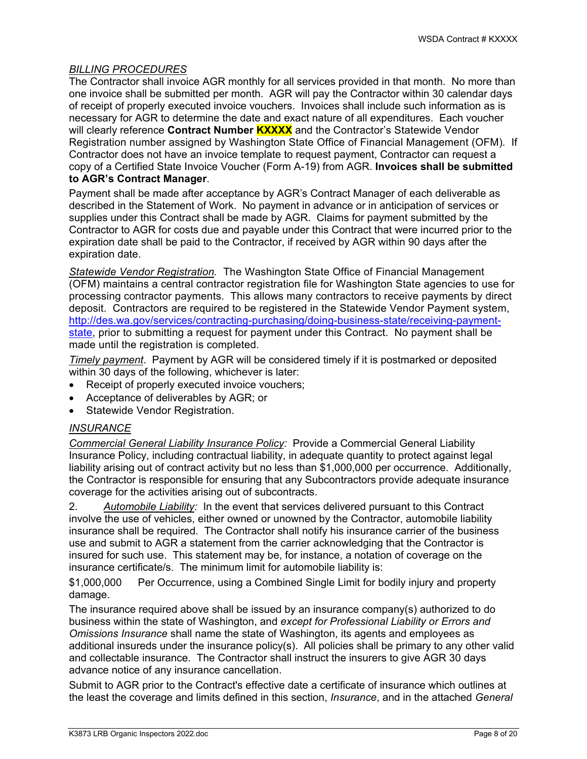## *BILLING PROCEDURES*

The Contractor shall invoice AGR monthly for all services provided in that month. No more than one invoice shall be submitted per month. AGR will pay the Contractor within 30 calendar days of receipt of properly executed invoice vouchers. Invoices shall include such information as is necessary for AGR to determine the date and exact nature of all expenditures. Each voucher will clearly reference **Contract Number KXXXX** and the Contractor's Statewide Vendor Registration number assigned by Washington State Office of Financial Management (OFM)*.* If Contractor does not have an invoice template to request payment, Contractor can request a copy of a Certified State Invoice Voucher (Form A-19) from AGR. **Invoices shall be submitted to AGR's Contract Manager**.

Payment shall be made after acceptance by AGR's Contract Manager of each deliverable as described in the Statement of Work. No payment in advance or in anticipation of services or supplies under this Contract shall be made by AGR. Claims for payment submitted by the Contractor to AGR for costs due and payable under this Contract that were incurred prior to the expiration date shall be paid to the Contractor, if received by AGR within 90 days after the expiration date.

*Statewide Vendor Registration.* The Washington State Office of Financial Management (OFM) maintains a central contractor registration file for Washington State agencies to use for processing contractor payments. This allows many contractors to receive payments by direct deposit. Contractors are required to be registered in the Statewide Vendor Payment system, [http://des.wa.gov/services/contracting-purchasing/doing-business-state/receiving-payment](http://des.wa.gov/services/contracting-purchasing/doing-business-state/receiving-payment-state)[state,](http://des.wa.gov/services/contracting-purchasing/doing-business-state/receiving-payment-state) prior to submitting a request for payment under this Contract. No payment shall be made until the registration is completed.

*Timely payment*. Payment by AGR will be considered timely if it is postmarked or deposited within 30 days of the following, whichever is later:

- Receipt of properly executed invoice vouchers;
- Acceptance of deliverables by AGR; or
- Statewide Vendor Registration.

## *INSURANCE*

*Commercial General Liability Insurance Policy:* Provide a Commercial General Liability Insurance Policy, including contractual liability, in adequate quantity to protect against legal liability arising out of contract activity but no less than \$1,000,000 per occurrence. Additionally, the Contractor is responsible for ensuring that any Subcontractors provide adequate insurance coverage for the activities arising out of subcontracts.

2. *Automobile Liability:* In the event that services delivered pursuant to this Contract involve the use of vehicles, either owned or unowned by the Contractor, automobile liability insurance shall be required. The Contractor shall notify his insurance carrier of the business use and submit to AGR a statement from the carrier acknowledging that the Contractor is insured for such use. This statement may be, for instance, a notation of coverage on the insurance certificate/s. The minimum limit for automobile liability is:

\$1,000,000 Per Occurrence, using a Combined Single Limit for bodily injury and property damage.

The insurance required above shall be issued by an insurance company(s) authorized to do business within the state of Washington, and *except for Professional Liability or Errors and Omissions Insurance* shall name the state of Washington, its agents and employees as additional insureds under the insurance policy(s). All policies shall be primary to any other valid and collectable insurance. The Contractor shall instruct the insurers to give AGR 30 days advance notice of any insurance cancellation.

Submit to AGR prior to the Contract's effective date a certificate of insurance which outlines at the least the coverage and limits defined in this section, *Insurance*, and in the attached *General*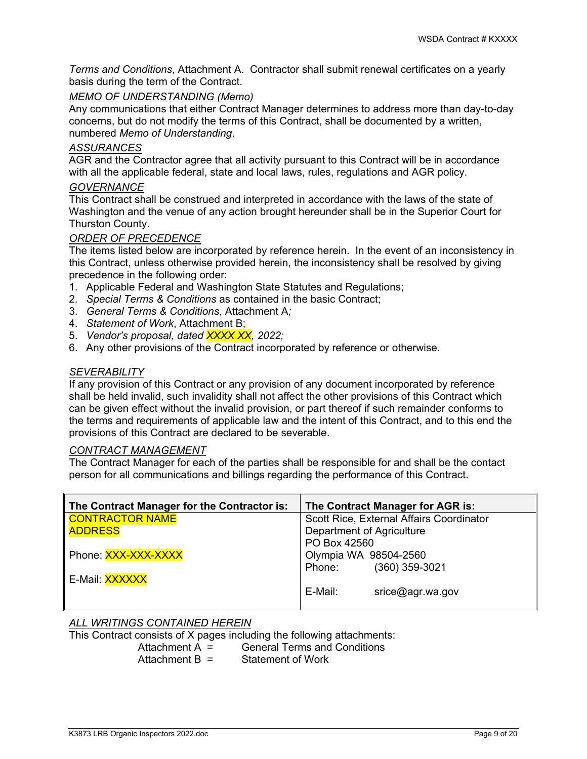*Terms and Conditions*, Attachment A. Contractor shall submit renewal certificates on a yearly basis during the term of the Contract.

## *MEMO OF UNDERSTANDING (Memo)*

Any communications that either Contract Manager determines to address more than day-to-day concerns, but do not modify the terms of this Contract, shall be documented by a written, numbered *Memo of Understanding*.

## *ASSURANCES*

AGR and the Contractor agree that all activity pursuant to this Contract will be in accordance with all the applicable federal, state and local laws, rules, regulations and AGR policy.

## *GOVERNANCE*

This Contract shall be construed and interpreted in accordance with the laws of the state of Washington and the venue of any action brought hereunder shall be in the Superior Court for Thurston County.

## *ORDER OF PRECEDENCE*

The items listed below are incorporated by reference herein. In the event of an inconsistency in this Contract, unless otherwise provided herein, the inconsistency shall be resolved by giving precedence in the following order:

- 1. Applicable Federal and Washington State Statutes and Regulations;
- 2. *Special Terms & Conditions* as contained in the basic Contract;
- 3. *General Terms & Conditions*, Attachment A*;*
- 4. *Statement of Work*, Attachment B;
- 5. *Vendor's proposal, dated XXXX XX, 2022;*
- 6. Any other provisions of the Contract incorporated by reference or otherwise.

## *SEVERABILITY*

If any provision of this Contract or any provision of any document incorporated by reference shall be held invalid, such invalidity shall not affect the other provisions of this Contract which can be given effect without the invalid provision, or part thereof if such remainder conforms to the terms and requirements of applicable law and the intent of this Contract, and to this end the provisions of this Contract are declared to be severable.

#### *CONTRACT MANAGEMENT*

The Contract Manager for each of the parties shall be responsible for and shall be the contact person for all communications and billings regarding the performance of this Contract.

| The Contract Manager for the Contractor is: | The Contract Manager for AGR is:         |
|---------------------------------------------|------------------------------------------|
| <b>CONTRACTOR NAME</b>                      | Scott Rice, External Affairs Coordinator |
| <b>ADDRESS</b>                              | Department of Agriculture                |
|                                             | PO Box 42560                             |
| Phone: XXX-XXX-XXXX                         | Olympia WA 98504-2560                    |
|                                             | (360) 359-3021<br>Phone:                 |
| E-Mail: <b>XXXXXX</b>                       |                                          |
|                                             | E-Mail:<br>$\textsf{price}$ @agr.wa.gov  |

## *ALL WRITINGS CONTAINED HEREIN*

This Contract consists of X pages including the following attachments:<br>Attachment A = General Terms and Conditions

Attachment  $A =$  General Terms and Conditions<br>Attachment  $B =$  Statement of Work

Statement of Work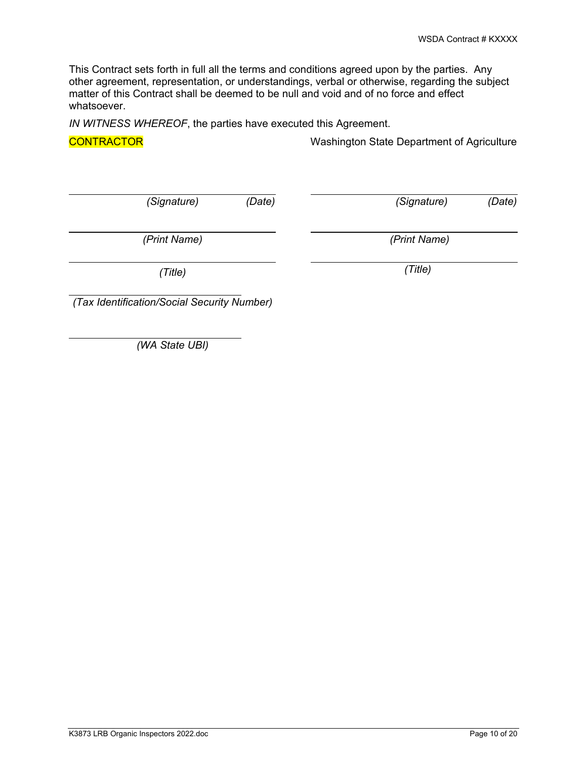This Contract sets forth in full all the terms and conditions agreed upon by the parties. Any other agreement, representation, or understandings, verbal or otherwise, regarding the subject matter of this Contract shall be deemed to be null and void and of no force and effect whatsoever.

*IN WITNESS WHEREOF*, the parties have executed this Agreement.

 $\overline{a}$ 

 $\overline{a}$ 

 $\overline{a}$ 

 $\overline{\phantom{a}}$ 

 $\overline{a}$ 

**CONTRACTOR** CONTRACTOR CONTRACTOR

*(Signature) (Date) (Signature) (Date)*

*(Print Name) (Print Name)* 

*(Title) (Title)*

*(Tax Identification/Social Security Number)* 

*(WA State UBI)*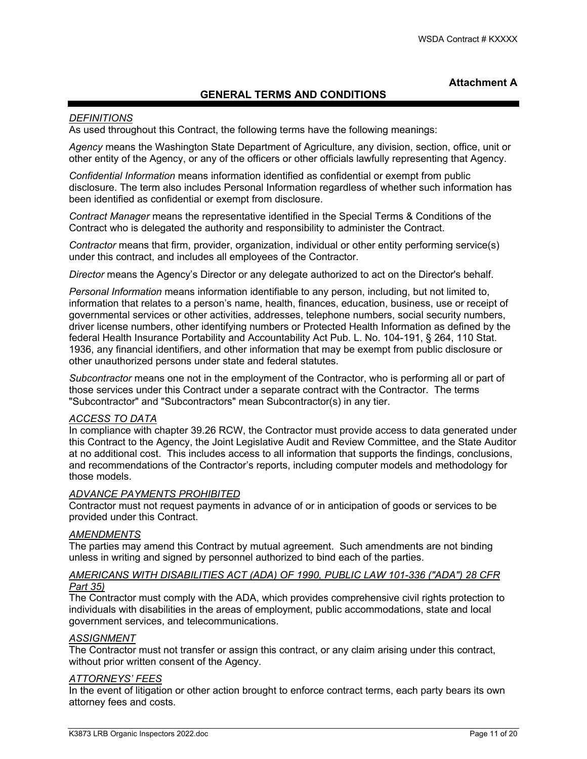### **Attachment A**

## **GENERAL TERMS AND CONDITIONS**

#### *DEFINITIONS*

As used throughout this Contract, the following terms have the following meanings:

*Agency* means the Washington State Department of Agriculture, any division, section, office, unit or other entity of the Agency, or any of the officers or other officials lawfully representing that Agency.

*Confidential Information* means information identified as confidential or exempt from public disclosure. The term also includes Personal Information regardless of whether such information has been identified as confidential or exempt from disclosure.

*Contract Manager* means the representative identified in the Special Terms & Conditions of the Contract who is delegated the authority and responsibility to administer the Contract.

*Contractor* means that firm, provider, organization, individual or other entity performing service(s) under this contract, and includes all employees of the Contractor.

*Director* means the Agency's Director or any delegate authorized to act on the Director's behalf.

*Personal Information* means information identifiable to any person, including, but not limited to, information that relates to a person's name, health, finances, education, business, use or receipt of governmental services or other activities, addresses, telephone numbers, social security numbers, driver license numbers, other identifying numbers or Protected Health Information as defined by the federal Health Insurance Portability and Accountability Act Pub. L. No. 104-191, § 264, 110 Stat. 1936, any financial identifiers, and other information that may be exempt from public disclosure or other unauthorized persons under state and federal statutes.

*Subcontractor* means one not in the employment of the Contractor, who is performing all or part of those services under this Contract under a separate contract with the Contractor. The terms "Subcontractor" and "Subcontractors" mean Subcontractor(s) in any tier.

## *ACCESS TO DATA*

In compliance with chapter 39.26 RCW, the Contractor must provide access to data generated under this Contract to the Agency, the Joint Legislative Audit and Review Committee, and the State Auditor at no additional cost. This includes access to all information that supports the findings, conclusions, and recommendations of the Contractor's reports, including computer models and methodology for those models.

#### *ADVANCE PAYMENTS PROHIBITED*

Contractor must not request payments in advance of or in anticipation of goods or services to be provided under this Contract.

#### *AMENDMENTS*

The parties may amend this Contract by mutual agreement. Such amendments are not binding unless in writing and signed by personnel authorized to bind each of the parties.

### *AMERICANS WITH DISABILITIES ACT (ADA) OF 1990, PUBLIC LAW 101-336 ("ADA") 28 CFR Part 35)*

The Contractor must comply with the ADA, which provides comprehensive civil rights protection to individuals with disabilities in the areas of employment, public accommodations, state and local government services, and telecommunications.

#### *ASSIGNMENT*

The Contractor must not transfer or assign this contract, or any claim arising under this contract, without prior written consent of the Agency.

#### *ATTORNEYS' FEES*

In the event of litigation or other action brought to enforce contract terms, each party bears its own attorney fees and costs.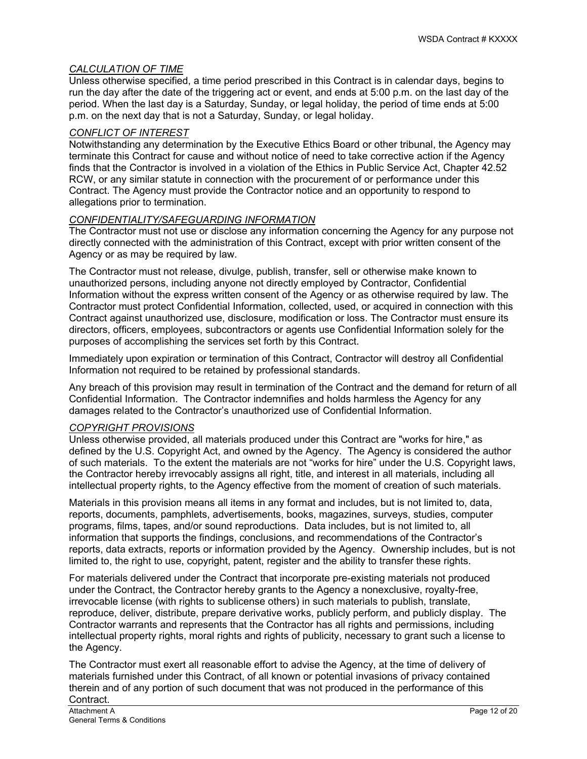## *CALCULATION OF TIME*

Unless otherwise specified, a time period prescribed in this Contract is in calendar days, begins to run the day after the date of the triggering act or event, and ends at 5:00 p.m. on the last day of the period. When the last day is a Saturday, Sunday, or legal holiday, the period of time ends at 5:00 p.m. on the next day that is not a Saturday, Sunday, or legal holiday.

### *CONFLICT OF INTEREST*

Notwithstanding any determination by the Executive Ethics Board or other tribunal, the Agency may terminate this Contract for cause and without notice of need to take corrective action if the Agency finds that the Contractor is involved in a violation of the Ethics in Public Service Act, Chapter 42.52 RCW, or any similar statute in connection with the procurement of or performance under this Contract. The Agency must provide the Contractor notice and an opportunity to respond to allegations prior to termination.

## *CONFIDENTIALITY/SAFEGUARDING INFORMATION*

The Contractor must not use or disclose any information concerning the Agency for any purpose not directly connected with the administration of this Contract, except with prior written consent of the Agency or as may be required by law.

The Contractor must not release, divulge, publish, transfer, sell or otherwise make known to unauthorized persons, including anyone not directly employed by Contractor, Confidential Information without the express written consent of the Agency or as otherwise required by law. The Contractor must protect Confidential Information, collected, used, or acquired in connection with this Contract against unauthorized use, disclosure, modification or loss. The Contractor must ensure its directors, officers, employees, subcontractors or agents use Confidential Information solely for the purposes of accomplishing the services set forth by this Contract.

Immediately upon expiration or termination of this Contract, Contractor will destroy all Confidential Information not required to be retained by professional standards.

Any breach of this provision may result in termination of the Contract and the demand for return of all Confidential Information. The Contractor indemnifies and holds harmless the Agency for any damages related to the Contractor's unauthorized use of Confidential Information.

#### *COPYRIGHT PROVISIONS*

Unless otherwise provided, all materials produced under this Contract are "works for hire," as defined by the U.S. Copyright Act, and owned by the Agency. The Agency is considered the author of such materials. To the extent the materials are not "works for hire" under the U.S. Copyright laws, the Contractor hereby irrevocably assigns all right, title, and interest in all materials, including all intellectual property rights, to the Agency effective from the moment of creation of such materials.

Materials in this provision means all items in any format and includes, but is not limited to, data, reports, documents, pamphlets, advertisements, books, magazines, surveys, studies, computer programs, films, tapes, and/or sound reproductions. Data includes, but is not limited to, all information that supports the findings, conclusions, and recommendations of the Contractor's reports, data extracts, reports or information provided by the Agency. Ownership includes, but is not limited to, the right to use, copyright, patent, register and the ability to transfer these rights.

For materials delivered under the Contract that incorporate pre-existing materials not produced under the Contract, the Contractor hereby grants to the Agency a nonexclusive, royalty-free, irrevocable license (with rights to sublicense others) in such materials to publish, translate, reproduce, deliver, distribute, prepare derivative works, publicly perform, and publicly display. The Contractor warrants and represents that the Contractor has all rights and permissions, including intellectual property rights, moral rights and rights of publicity, necessary to grant such a license to the Agency.

The Contractor must exert all reasonable effort to advise the Agency, at the time of delivery of materials furnished under this Contract, of all known or potential invasions of privacy contained therein and of any portion of such document that was not produced in the performance of this Contract.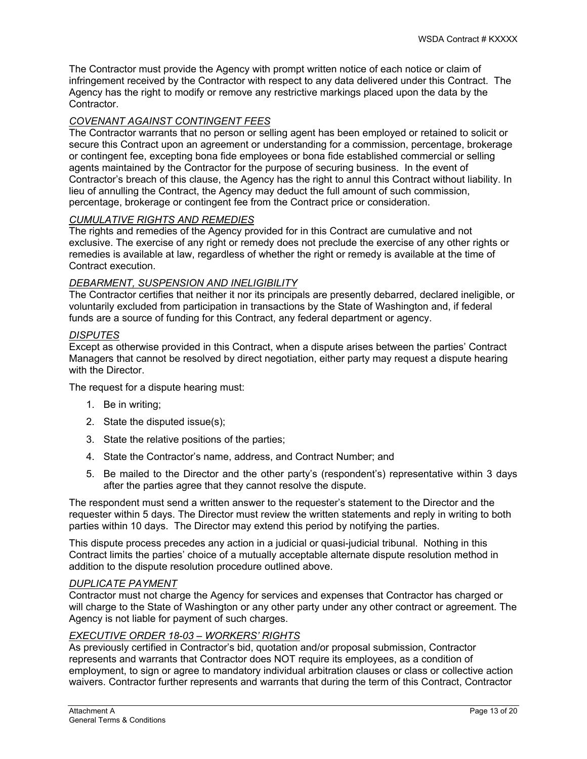The Contractor must provide the Agency with prompt written notice of each notice or claim of infringement received by the Contractor with respect to any data delivered under this Contract. The Agency has the right to modify or remove any restrictive markings placed upon the data by the Contractor.

### *COVENANT AGAINST CONTINGENT FEES*

The Contractor warrants that no person or selling agent has been employed or retained to solicit or secure this Contract upon an agreement or understanding for a commission, percentage, brokerage or contingent fee, excepting bona fide employees or bona fide established commercial or selling agents maintained by the Contractor for the purpose of securing business. In the event of Contractor's breach of this clause, the Agency has the right to annul this Contract without liability. In lieu of annulling the Contract, the Agency may deduct the full amount of such commission, percentage, brokerage or contingent fee from the Contract price or consideration.

### *CUMULATIVE RIGHTS AND REMEDIES*

The rights and remedies of the Agency provided for in this Contract are cumulative and not exclusive. The exercise of any right or remedy does not preclude the exercise of any other rights or remedies is available at law, regardless of whether the right or remedy is available at the time of Contract execution.

#### *DEBARMENT, SUSPENSION AND INELIGIBILITY*

The Contractor certifies that neither it nor its principals are presently debarred, declared ineligible, or voluntarily excluded from participation in transactions by the State of Washington and, if federal funds are a source of funding for this Contract, any federal department or agency.

#### *DISPUTES*

Except as otherwise provided in this Contract, when a dispute arises between the parties' Contract Managers that cannot be resolved by direct negotiation, either party may request a dispute hearing with the Director.

The request for a dispute hearing must:

- 1. Be in writing;
- 2. State the disputed issue(s);
- 3. State the relative positions of the parties;
- 4. State the Contractor's name, address, and Contract Number; and
- 5. Be mailed to the Director and the other party's (respondent's) representative within 3 days after the parties agree that they cannot resolve the dispute.

The respondent must send a written answer to the requester's statement to the Director and the requester within 5 days. The Director must review the written statements and reply in writing to both parties within 10 days. The Director may extend this period by notifying the parties.

This dispute process precedes any action in a judicial or quasi-judicial tribunal. Nothing in this Contract limits the parties' choice of a mutually acceptable alternate dispute resolution method in addition to the dispute resolution procedure outlined above.

#### *DUPLICATE PAYMENT*

Contractor must not charge the Agency for services and expenses that Contractor has charged or will charge to the State of Washington or any other party under any other contract or agreement. The Agency is not liable for payment of such charges.

#### *EXECUTIVE ORDER 18-03 – WORKERS' RIGHTS*

As previously certified in Contractor's bid, quotation and/or proposal submission, Contractor represents and warrants that Contractor does NOT require its employees, as a condition of employment, to sign or agree to mandatory individual arbitration clauses or class or collective action waivers. Contractor further represents and warrants that during the term of this Contract, Contractor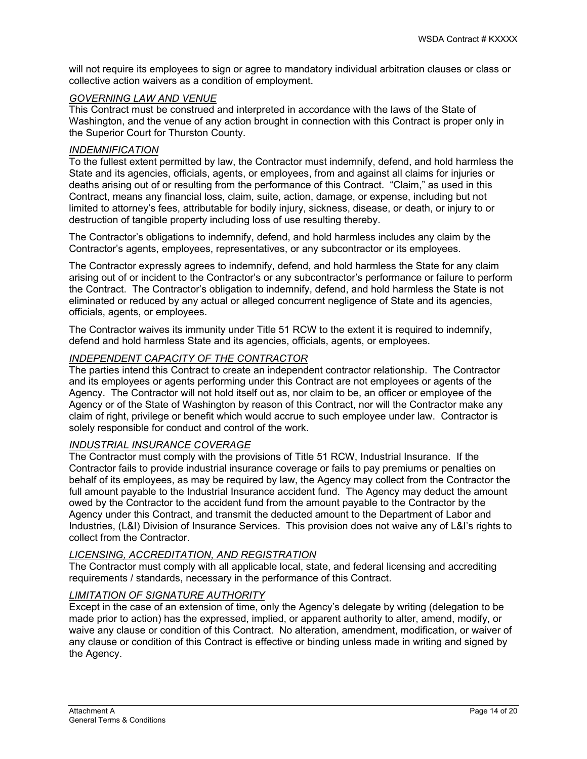will not require its employees to sign or agree to mandatory individual arbitration clauses or class or collective action waivers as a condition of employment.

#### *GOVERNING LAW AND VENUE*

This Contract must be construed and interpreted in accordance with the laws of the State of Washington, and the venue of any action brought in connection with this Contract is proper only in the Superior Court for Thurston County.

#### *INDEMNIFICATION*

To the fullest extent permitted by law, the Contractor must indemnify, defend, and hold harmless the State and its agencies, officials, agents, or employees, from and against all claims for injuries or deaths arising out of or resulting from the performance of this Contract. "Claim," as used in this Contract, means any financial loss, claim, suite, action, damage, or expense, including but not limited to attorney's fees, attributable for bodily injury, sickness, disease, or death, or injury to or destruction of tangible property including loss of use resulting thereby.

The Contractor's obligations to indemnify, defend, and hold harmless includes any claim by the Contractor's agents, employees, representatives, or any subcontractor or its employees.

The Contractor expressly agrees to indemnify, defend, and hold harmless the State for any claim arising out of or incident to the Contractor's or any subcontractor's performance or failure to perform the Contract. The Contractor's obligation to indemnify, defend, and hold harmless the State is not eliminated or reduced by any actual or alleged concurrent negligence of State and its agencies, officials, agents, or employees.

The Contractor waives its immunity under Title 51 RCW to the extent it is required to indemnify, defend and hold harmless State and its agencies, officials, agents, or employees.

## *INDEPENDENT CAPACITY OF THE CONTRACTOR*

The parties intend this Contract to create an independent contractor relationship. The Contractor and its employees or agents performing under this Contract are not employees or agents of the Agency. The Contractor will not hold itself out as, nor claim to be, an officer or employee of the Agency or of the State of Washington by reason of this Contract, nor will the Contractor make any claim of right, privilege or benefit which would accrue to such employee under law. Contractor is solely responsible for conduct and control of the work.

#### *INDUSTRIAL INSURANCE COVERAGE*

The Contractor must comply with the provisions of Title 51 RCW, Industrial Insurance. If the Contractor fails to provide industrial insurance coverage or fails to pay premiums or penalties on behalf of its employees, as may be required by law, the Agency may collect from the Contractor the full amount payable to the Industrial Insurance accident fund. The Agency may deduct the amount owed by the Contractor to the accident fund from the amount payable to the Contractor by the Agency under this Contract, and transmit the deducted amount to the Department of Labor and Industries, (L&I) Division of Insurance Services. This provision does not waive any of L&I's rights to collect from the Contractor.

#### *LICENSING, ACCREDITATION, AND REGISTRATION*

The Contractor must comply with all applicable local, state, and federal licensing and accrediting requirements / standards, necessary in the performance of this Contract.

#### *LIMITATION OF SIGNATURE AUTHORITY*

Except in the case of an extension of time, only the Agency's delegate by writing (delegation to be made prior to action) has the expressed, implied, or apparent authority to alter, amend, modify, or waive any clause or condition of this Contract. No alteration, amendment, modification, or waiver of any clause or condition of this Contract is effective or binding unless made in writing and signed by the Agency.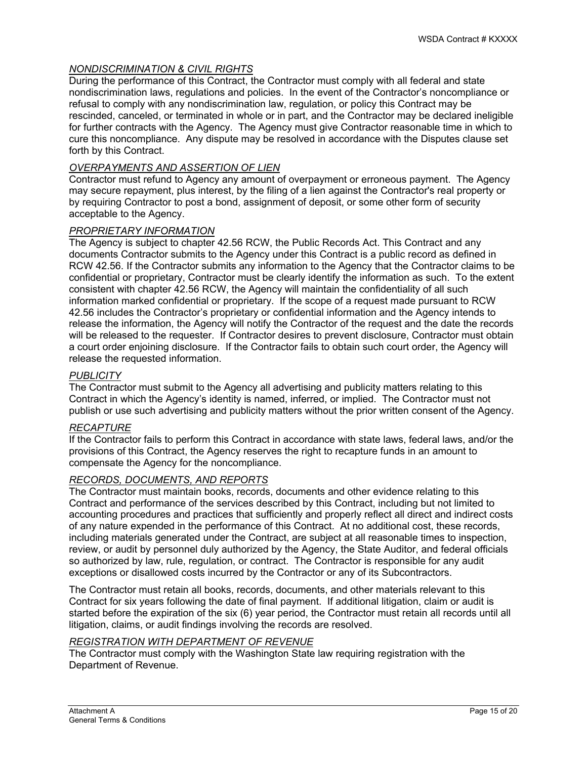#### *NONDISCRIMINATION & CIVIL RIGHTS*

During the performance of this Contract, the Contractor must comply with all federal and state nondiscrimination laws, regulations and policies. In the event of the Contractor's noncompliance or refusal to comply with any nondiscrimination law, regulation, or policy this Contract may be rescinded, canceled, or terminated in whole or in part, and the Contractor may be declared ineligible for further contracts with the Agency. The Agency must give Contractor reasonable time in which to cure this noncompliance. Any dispute may be resolved in accordance with the Disputes clause set forth by this Contract.

#### *OVERPAYMENTS AND ASSERTION OF LIEN*

Contractor must refund to Agency any amount of overpayment or erroneous payment. The Agency may secure repayment, plus interest, by the filing of a lien against the Contractor's real property or by requiring Contractor to post a bond, assignment of deposit, or some other form of security acceptable to the Agency.

#### *PROPRIETARY INFORMATION*

The Agency is subject to chapter 42.56 RCW, the Public Records Act. This Contract and any documents Contractor submits to the Agency under this Contract is a public record as defined in RCW 42.56. If the Contractor submits any information to the Agency that the Contractor claims to be confidential or proprietary, Contractor must be clearly identify the information as such. To the extent consistent with chapter 42.56 RCW, the Agency will maintain the confidentiality of all such information marked confidential or proprietary. If the scope of a request made pursuant to RCW 42.56 includes the Contractor's proprietary or confidential information and the Agency intends to release the information, the Agency will notify the Contractor of the request and the date the records will be released to the requester. If Contractor desires to prevent disclosure, Contractor must obtain a court order enjoining disclosure. If the Contractor fails to obtain such court order, the Agency will release the requested information.

#### *PUBLICITY*

The Contractor must submit to the Agency all advertising and publicity matters relating to this Contract in which the Agency's identity is named, inferred, or implied. The Contractor must not publish or use such advertising and publicity matters without the prior written consent of the Agency.

#### *RECAPTURE*

If the Contractor fails to perform this Contract in accordance with state laws, federal laws, and/or the provisions of this Contract, the Agency reserves the right to recapture funds in an amount to compensate the Agency for the noncompliance.

#### *RECORDS, DOCUMENTS, AND REPORTS*

The Contractor must maintain books, records, documents and other evidence relating to this Contract and performance of the services described by this Contract, including but not limited to accounting procedures and practices that sufficiently and properly reflect all direct and indirect costs of any nature expended in the performance of this Contract. At no additional cost, these records, including materials generated under the Contract, are subject at all reasonable times to inspection, review, or audit by personnel duly authorized by the Agency, the State Auditor, and federal officials so authorized by law, rule, regulation, or contract. The Contractor is responsible for any audit exceptions or disallowed costs incurred by the Contractor or any of its Subcontractors.

The Contractor must retain all books, records, documents, and other materials relevant to this Contract for six years following the date of final payment. If additional litigation, claim or audit is started before the expiration of the six (6) year period, the Contractor must retain all records until all litigation, claims, or audit findings involving the records are resolved.

# *REGISTRATION WITH DEPARTMENT OF REVENUE*

The Contractor must comply with the Washington State law requiring registration with the Department of Revenue.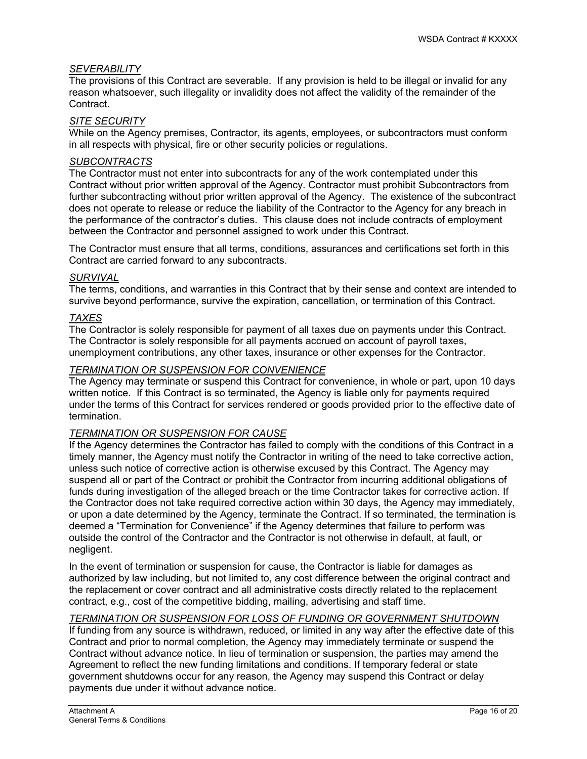#### *SEVERABILITY*

The provisions of this Contract are severable. If any provision is held to be illegal or invalid for any reason whatsoever, such illegality or invalidity does not affect the validity of the remainder of the Contract.

#### *SITE SECURITY*

While on the Agency premises, Contractor, its agents, employees, or subcontractors must conform in all respects with physical, fire or other security policies or regulations.

## *SUBCONTRACTS*

The Contractor must not enter into subcontracts for any of the work contemplated under this Contract without prior written approval of the Agency. Contractor must prohibit Subcontractors from further subcontracting without prior written approval of the Agency. The existence of the subcontract does not operate to release or reduce the liability of the Contractor to the Agency for any breach in the performance of the contractor's duties. This clause does not include contracts of employment between the Contractor and personnel assigned to work under this Contract.

The Contractor must ensure that all terms, conditions, assurances and certifications set forth in this Contract are carried forward to any subcontracts.

# *SURVIVAL*

The terms, conditions, and warranties in this Contract that by their sense and context are intended to survive beyond performance, survive the expiration, cancellation, or termination of this Contract.

### *TAXES*

The Contractor is solely responsible for payment of all taxes due on payments under this Contract. The Contractor is solely responsible for all payments accrued on account of payroll taxes, unemployment contributions, any other taxes, insurance or other expenses for the Contractor.

#### *TERMINATION OR SUSPENSION FOR CONVENIENCE*

The Agency may terminate or suspend this Contract for convenience, in whole or part, upon 10 days written notice. If this Contract is so terminated, the Agency is liable only for payments required under the terms of this Contract for services rendered or goods provided prior to the effective date of termination.

#### *TERMINATION OR SUSPENSION FOR CAUSE*

If the Agency determines the Contractor has failed to comply with the conditions of this Contract in a timely manner, the Agency must notify the Contractor in writing of the need to take corrective action, unless such notice of corrective action is otherwise excused by this Contract. The Agency may suspend all or part of the Contract or prohibit the Contractor from incurring additional obligations of funds during investigation of the alleged breach or the time Contractor takes for corrective action. If the Contractor does not take required corrective action within 30 days, the Agency may immediately, or upon a date determined by the Agency, terminate the Contract. If so terminated, the termination is deemed a "Termination for Convenience" if the Agency determines that failure to perform was outside the control of the Contractor and the Contractor is not otherwise in default, at fault, or negligent.

In the event of termination or suspension for cause, the Contractor is liable for damages as authorized by law including, but not limited to, any cost difference between the original contract and the replacement or cover contract and all administrative costs directly related to the replacement contract, e.g., cost of the competitive bidding, mailing, advertising and staff time.

## *TERMINATION OR SUSPENSION FOR LOSS OF FUNDING OR GOVERNMENT SHUTDOWN*

If funding from any source is withdrawn, reduced, or limited in any way after the effective date of this Contract and prior to normal completion, the Agency may immediately terminate or suspend the Contract without advance notice. In lieu of termination or suspension, the parties may amend the Agreement to reflect the new funding limitations and conditions. If temporary federal or state government shutdowns occur for any reason, the Agency may suspend this Contract or delay payments due under it without advance notice.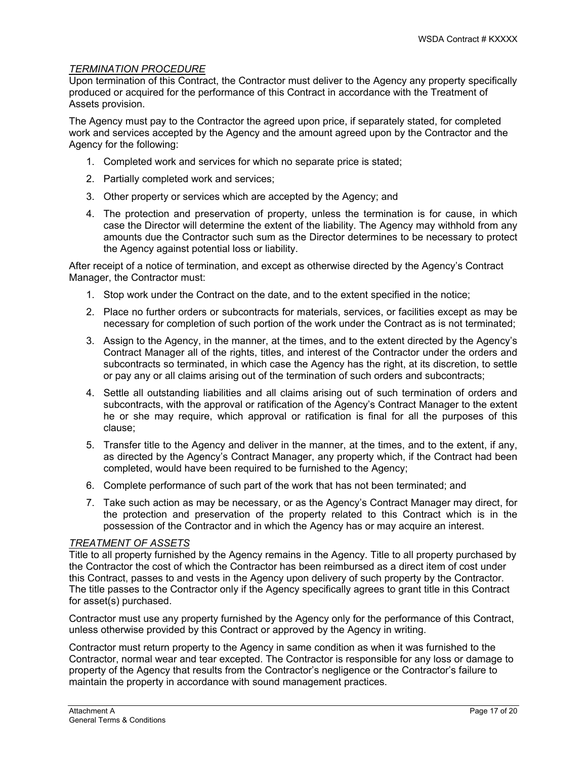### *TERMINATION PROCEDURE*

Upon termination of this Contract, the Contractor must deliver to the Agency any property specifically produced or acquired for the performance of this Contract in accordance with the Treatment of Assets provision.

The Agency must pay to the Contractor the agreed upon price, if separately stated, for completed work and services accepted by the Agency and the amount agreed upon by the Contractor and the Agency for the following:

- 1. Completed work and services for which no separate price is stated;
- 2. Partially completed work and services;
- 3. Other property or services which are accepted by the Agency; and
- 4. The protection and preservation of property, unless the termination is for cause, in which case the Director will determine the extent of the liability. The Agency may withhold from any amounts due the Contractor such sum as the Director determines to be necessary to protect the Agency against potential loss or liability.

After receipt of a notice of termination, and except as otherwise directed by the Agency's Contract Manager, the Contractor must:

- 1. Stop work under the Contract on the date, and to the extent specified in the notice;
- 2. Place no further orders or subcontracts for materials, services, or facilities except as may be necessary for completion of such portion of the work under the Contract as is not terminated;
- 3. Assign to the Agency, in the manner, at the times, and to the extent directed by the Agency's Contract Manager all of the rights, titles, and interest of the Contractor under the orders and subcontracts so terminated, in which case the Agency has the right, at its discretion, to settle or pay any or all claims arising out of the termination of such orders and subcontracts;
- 4. Settle all outstanding liabilities and all claims arising out of such termination of orders and subcontracts, with the approval or ratification of the Agency's Contract Manager to the extent he or she may require, which approval or ratification is final for all the purposes of this clause;
- 5. Transfer title to the Agency and deliver in the manner, at the times, and to the extent, if any, as directed by the Agency's Contract Manager, any property which, if the Contract had been completed, would have been required to be furnished to the Agency;
- 6. Complete performance of such part of the work that has not been terminated; and
- 7. Take such action as may be necessary, or as the Agency's Contract Manager may direct, for the protection and preservation of the property related to this Contract which is in the possession of the Contractor and in which the Agency has or may acquire an interest.

#### *TREATMENT OF ASSETS*

Title to all property furnished by the Agency remains in the Agency. Title to all property purchased by the Contractor the cost of which the Contractor has been reimbursed as a direct item of cost under this Contract, passes to and vests in the Agency upon delivery of such property by the Contractor. The title passes to the Contractor only if the Agency specifically agrees to grant title in this Contract for asset(s) purchased.

Contractor must use any property furnished by the Agency only for the performance of this Contract, unless otherwise provided by this Contract or approved by the Agency in writing.

Contractor must return property to the Agency in same condition as when it was furnished to the Contractor, normal wear and tear excepted. The Contractor is responsible for any loss or damage to property of the Agency that results from the Contractor's negligence or the Contractor's failure to maintain the property in accordance with sound management practices.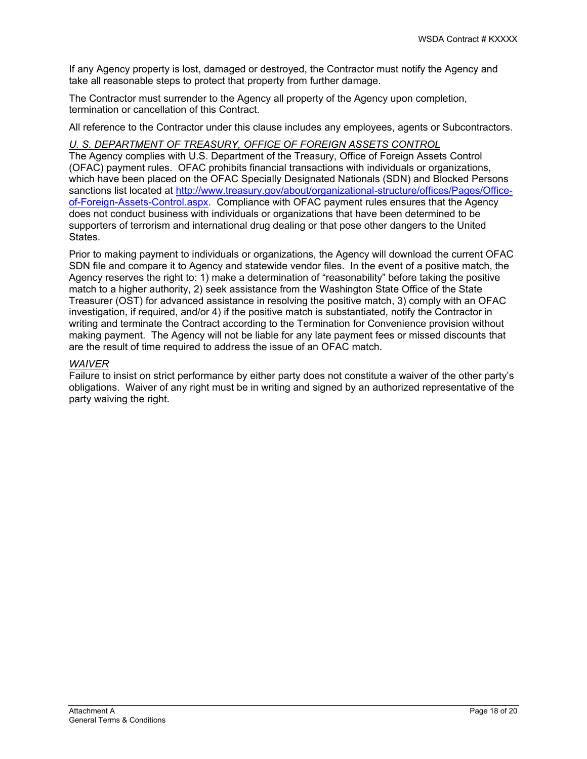If any Agency property is lost, damaged or destroyed, the Contractor must notify the Agency and take all reasonable steps to protect that property from further damage.

The Contractor must surrender to the Agency all property of the Agency upon completion, termination or cancellation of this Contract.

All reference to the Contractor under this clause includes any employees, agents or Subcontractors.

## *U. S. DEPARTMENT OF TREASURY, OFFICE OF FOREIGN ASSETS CONTROL*

The Agency complies with U.S. Department of the Treasury, Office of Foreign Assets Control (OFAC) payment rules. OFAC prohibits financial transactions with individuals or organizations, which have been placed on the OFAC Specially Designated Nationals (SDN) and Blocked Persons sanctions list located at [http://www.treasury.gov/about/organizational-structure/offices/Pages/Office](http://www.treasury.gov/about/organizational-structure/offices/Pages/Office-of-Foreign-Assets-Control.aspx)[of-Foreign-Assets-Control.aspx.](http://www.treasury.gov/about/organizational-structure/offices/Pages/Office-of-Foreign-Assets-Control.aspx) Compliance with OFAC payment rules ensures that the Agency does not conduct business with individuals or organizations that have been determined to be supporters of terrorism and international drug dealing or that pose other dangers to the United States.

Prior to making payment to individuals or organizations, the Agency will download the current OFAC SDN file and compare it to Agency and statewide vendor files. In the event of a positive match, the Agency reserves the right to: 1) make a determination of "reasonability" before taking the positive match to a higher authority, 2) seek assistance from the Washington State Office of the State Treasurer (OST) for advanced assistance in resolving the positive match, 3) comply with an OFAC investigation, if required, and/or 4) if the positive match is substantiated, notify the Contractor in writing and terminate the Contract according to the Termination for Convenience provision without making payment. The Agency will not be liable for any late payment fees or missed discounts that are the result of time required to address the issue of an OFAC match.

#### *WAIVER*

Failure to insist on strict performance by either party does not constitute a waiver of the other party's obligations. Waiver of any right must be in writing and signed by an authorized representative of the party waiving the right.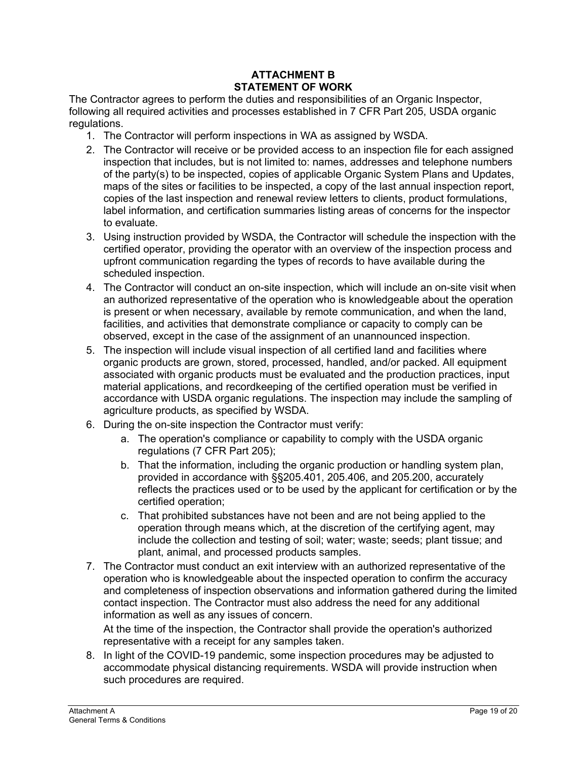## **ATTACHMENT B STATEMENT OF WORK**

The Contractor agrees to perform the duties and responsibilities of an Organic Inspector, following all required activities and processes established in 7 CFR Part 205, USDA organic regulations.

- 1. The Contractor will perform inspections in WA as assigned by WSDA.
- 2. The Contractor will receive or be provided access to an inspection file for each assigned inspection that includes, but is not limited to: names, addresses and telephone numbers of the party(s) to be inspected, copies of applicable Organic System Plans and Updates, maps of the sites or facilities to be inspected, a copy of the last annual inspection report, copies of the last inspection and renewal review letters to clients, product formulations, label information, and certification summaries listing areas of concerns for the inspector to evaluate.
- 3. Using instruction provided by WSDA, the Contractor will schedule the inspection with the certified operator, providing the operator with an overview of the inspection process and upfront communication regarding the types of records to have available during the scheduled inspection.
- 4. The Contractor will conduct an on-site inspection, which will include an on-site visit when an authorized representative of the operation who is knowledgeable about the operation is present or when necessary, available by remote communication, and when the land, facilities, and activities that demonstrate compliance or capacity to comply can be observed, except in the case of the assignment of an unannounced inspection.
- 5. The inspection will include visual inspection of all certified land and facilities where organic products are grown, stored, processed, handled, and/or packed. All equipment associated with organic products must be evaluated and the production practices, input material applications, and recordkeeping of the certified operation must be verified in accordance with USDA organic regulations. The inspection may include the sampling of agriculture products, as specified by WSDA.
- 6. During the on-site inspection the Contractor must verify:
	- a. The operation's compliance or capability to comply with the USDA organic regulations (7 CFR Part 205);
	- b. That the information, including the organic production or handling system plan, provided in accordance with §§205.401, 205.406, and 205.200, accurately reflects the practices used or to be used by the applicant for certification or by the certified operation;
	- c. That prohibited substances have not been and are not being applied to the operation through means which, at the discretion of the certifying agent, may include the collection and testing of soil; water; waste; seeds; plant tissue; and plant, animal, and processed products samples.
- 7. The Contractor must conduct an exit interview with an authorized representative of the operation who is knowledgeable about the inspected operation to confirm the accuracy and completeness of inspection observations and information gathered during the limited contact inspection. The Contractor must also address the need for any additional information as well as any issues of concern.

At the time of the inspection, the Contractor shall provide the operation's authorized representative with a receipt for any samples taken.

8. In light of the COVID-19 pandemic, some inspection procedures may be adjusted to accommodate physical distancing requirements. WSDA will provide instruction when such procedures are required.